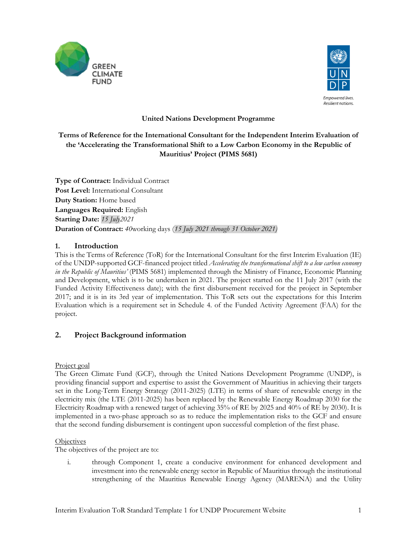



## **United Nations Development Programme**

## **Terms of Reference for the International Consultant for the Independent Interim Evaluation of the 'Accelerating the Transformational Shift to a Low Carbon Economy in the Republic of Mauritius' Project (PIMS 5681)**

**Type of Contract:** Individual Contract **Post Level:** International Consultant **Duty Station:** Home based **Languages Required:** English **Starting Date:** *15 July2021* **Duration of Contract:** *40*working days (*15 July 2021 through 31 October 2021)*

### **1. Introduction**

This is the Terms of Reference (ToR) for the International Consultant for the first Interim Evaluation (IE) of the UNDP-supported GCF-financed project titled *Accelerating the transformational shift to a low carbon economy in the Republic of Mauritius'* (PIMS 5681) implemented through the Ministry of Finance, Economic Planning and Development, which is to be undertaken in 2021. The project started on the 11 July 2017 (with the Funded Activity Effectiveness date); with the first disbursement received for the project in September 2017; and it is in its 3rd year of implementation. This ToR sets out the expectations for this Interim Evaluation which is a requirement set in Schedule 4. of the Funded Activity Agreement (FAA) for the project.

## **2. Project Background information**

#### Project goal

The Green Climate Fund (GCF), through the United Nations Development Programme (UNDP), is providing financial support and expertise to assist the Government of Mauritius in achieving their targets set in the Long-Term Energy Strategy (2011-2025) (LTE) in terms of share of renewable energy in the electricity mix (the LTE (2011-2025) has been replaced by the Renewable Energy Roadmap 2030 for the Electricity Roadmap with a renewed target of achieving 35% of RE by 2025 and 40% of RE by 2030). It is implemented in a two-phase approach so as to reduce the implementation risks to the GCF and ensure that the second funding disbursement is contingent upon successful completion of the first phase.

#### **Objectives**

The objectives of the project are to:

i. through Component 1, create a conducive environment for enhanced development and investment into the renewable energy sector in Republic of Mauritius through the institutional strengthening of the Mauritius Renewable Energy Agency (MARENA) and the Utility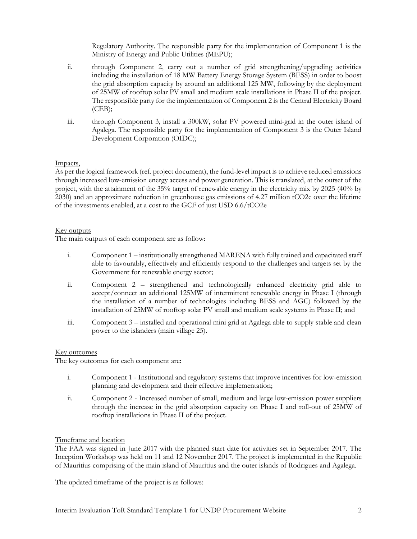Regulatory Authority. The responsible party for the implementation of Component 1 is the Ministry of Energy and Public Utilities (MEPU);

- ii. through Component 2, carry out a number of grid strengthening/upgrading activities including the installation of 18 MW Battery Energy Storage System (BESS) in order to boost the grid absorption capacity by around an additional 125 MW, following by the deployment of 25MW of rooftop solar PV small and medium scale installations in Phase II of the project. The responsible party for the implementation of Component 2 is the Central Electricity Board  $(CEB);$
- iii. through Component 3, install a 300kW, solar PV powered mini-grid in the outer island of Agalega. The responsible party for the implementation of Component 3 is the Outer Island Development Corporation (OIDC);

### Impacts,

As per the logical framework (ref. project document), the fund-level impact is to achieve reduced emissions through increased low-emission energy access and power generation. This is translated, at the outset of the project, with the attainment of the 35% target of renewable energy in the electricity mix by 2025 (40% by 2030) and an approximate reduction in greenhouse gas emissions of 4.27 million tCO2e over the lifetime of the investments enabled, at a cost to the GCF of just USD 6.6/tCO2e

### Key outputs

The main outputs of each component are as follow:

- i. Component 1 institutionally strengthened MARENA with fully trained and capacitated staff able to favourably, effectively and efficiently respond to the challenges and targets set by the Government for renewable energy sector;
- ii. Component 2 strengthened and technologically enhanced electricity grid able to accept/connect an additional 125MW of intermittent renewable energy in Phase I (through the installation of a number of technologies including BESS and AGC) followed by the installation of 25MW of rooftop solar PV small and medium scale systems in Phase II; and
- iii. Component 3 installed and operational mini grid at Agalega able to supply stable and clean power to the islanders (main village 25).

#### Key outcomes

The key outcomes for each component are:

- i. Component 1 Institutional and regulatory systems that improve incentives for low-emission planning and development and their effective implementation;
- ii. Component 2 Increased number of small, medium and large low-emission power suppliers through the increase in the grid absorption capacity on Phase I and roll-out of 25MW of rooftop installations in Phase II of the project.

#### Timeframe and location

The FAA was signed in June 2017 with the planned start date for activities set in September 2017. The Inception Workshop was held on 11 and 12 November 2017. The project is implemented in the Republic of Mauritius comprising of the main island of Mauritius and the outer islands of Rodrigues and Agalega.

The updated timeframe of the project is as follows: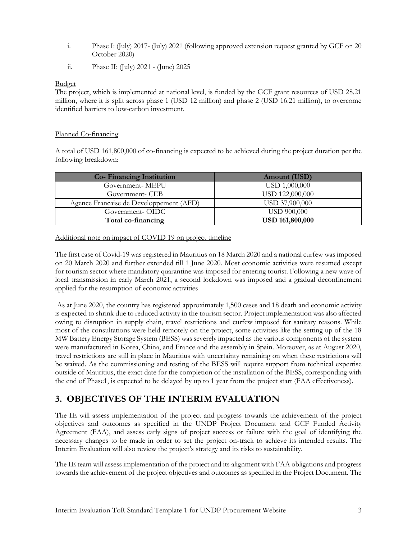- i. Phase I: (July) 2017- (July) 2021 (following approved extension request granted by GCF on 20 October 2020)
- ii. Phase II: (July) 2021 (June) 2025

### Budget

The project, which is implemented at national level, is funded by the GCF grant resources of USD 28.21 million, where it is split across phase 1 (USD 12 million) and phase 2 (USD 16.21 million), to overcome identified barriers to low-carbon investment.

### Planned Co-financing

A total of USD 161,800,000 of co-financing is expected to be achieved during the project duration per the following breakdown:

| <b>Co- Financing Institution</b>        | Amount (USD)           |
|-----------------------------------------|------------------------|
| Government-MEPU                         | USD 1,000,000          |
| Government- CEB                         | USD 122,000,000        |
| Agence Francaise de Developpement (AFD) | USD 37,900,000         |
| Government-OIDC                         | <b>USD 900,000</b>     |
| Total co-financing                      | <b>USD 161,800,000</b> |

Additional note on impact of COVID 19 on project timeline

The first case of Covid-19 was registered in Mauritius on 18 March 2020 and a national curfew was imposed on 20 March 2020 and further extended till 1 June 2020. Most economic activities were resumed except for tourism sector where mandatory quarantine was imposed for entering tourist. Following a new wave of local transmission in early March 2021, a second lockdown was imposed and a gradual deconfinement applied for the resumption of economic activities

As at June 2020, the country has registered approximately 1,500 cases and 18 death and economic activity is expected to shrink due to reduced activity in the tourism sector. Project implementation was also affected owing to disruption in supply chain, travel restrictions and curfew imposed for sanitary reasons. While most of the consultations were held remotely on the project, some activities like the setting up of the 18 MW Battery Energy Storage System (BESS) was severely impacted as the various components of the system were manufactured in Korea, China, and France and the assembly in Spain. Moreover, as at August 2020, travel restrictions are still in place in Mauritius with uncertainty remaining on when these restrictions will be waived. As the commissioning and testing of the BESS will require support from technical expertise outside of Mauritius, the exact date for the completion of the installation of the BESS, corresponding with the end of Phase1, is expected to be delayed by up to 1 year from the project start (FAA effectiveness).

# **3. OBJECTIVES OF THE INTERIM EVALUATION**

The IE will assess implementation of the project and progress towards the achievement of the project objectives and outcomes as specified in the UNDP Project Document and GCF Funded Activity Agreement (FAA), and assess early signs of project success or failure with the goal of identifying the necessary changes to be made in order to set the project on-track to achieve its intended results. The Interim Evaluation will also review the project's strategy and its risks to sustainability.

The IE team will assess implementation of the project and its alignment with FAA obligations and progress towards the achievement of the project objectives and outcomes as specified in the Project Document. The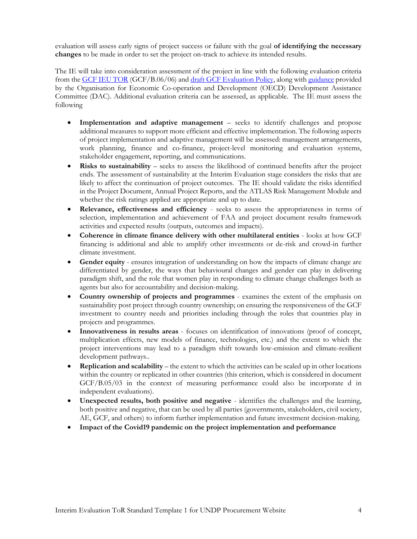evaluation will assess early signs of project success or failure with the goal **of identifying the necessary changes** to be made in order to set the project on-track to achieve its intended results.

The IE will take into consideration assessment of the project in line with the following evaluation criteria from th[e GCF IEU TOR](https://ieu.greenclimate.fund/documents/977793/985626/B.06_06_-_Independent_Integrity_Unit_and_the_Independent_Redress_Mechanism.pdf/74fdcf3c-ffc5-42cf-affb-4305347a74a0) (GCF/B.06/06) and [draft GCF Evaluation Policy,](https://ieu.greenclimate.fund/sites/default/files/page/gcf-b28-05-rev01-evaluation-policy-gcf.pdf) along with [guidance](https://www.oecd.org/dac/evaluation/daccriteriaforevaluatingdevelopmentassistance.htm) provided by the Organisation for Economic Co-operation and Development (OECD) Development Assistance Committee (DAC). Additional evaluation criteria can be assessed, as applicable. The IE must assess the following

- **Implementation and adaptive management** seeks to identify challenges and propose additional measures to support more efficient and effective implementation. The following aspects of project implementation and adaptive management will be assessed: management arrangements, work planning, finance and co-finance, project-level monitoring and evaluation systems, stakeholder engagement, reporting, and communications.
- **Risks to sustainability** seeks to assess the likelihood of continued benefits after the project ends. The assessment of sustainability at the Interim Evaluation stage considers the risks that are likely to affect the continuation of project outcomes. The IE should validate the risks identified in the Project Document, Annual Project Reports, and the ATLAS Risk Management Module and whether the risk ratings applied are appropriate and up to date.
- **Relevance, effectiveness and efficiency** seeks to assess the appropriateness in terms of selection, implementation and achievement of FAA and project document results framework activities and expected results (outputs, outcomes and impacts).
- **Coherence in climate finance delivery with other multilateral entities** looks at how GCF financing is additional and able to amplify other investments or de-risk and crowd-in further climate investment.
- Gender equity ensures integration of understanding on how the impacts of climate change are differentiated by gender, the ways that behavioural changes and gender can play in delivering paradigm shift, and the role that women play in responding to climate change challenges both as agents but also for accountability and decision-making.
- **Country ownership of projects and programmes** examines the extent of the emphasis on sustainability post project through country ownership; on ensuring the responsiveness of the GCF investment to country needs and priorities including through the roles that countries play in projects and programmes.
- **Innovativeness in results areas** focuses on identification of innovations (proof of concept, multiplication effects, new models of finance, technologies, etc.) and the extent to which the project interventions may lead to a paradigm shift towards low-emission and climate-resilient development pathways..
- **Replication and scalability** the extent to which the activities can be scaled up in other locations within the country or replicated in other countries (this criterion, which is considered in document GCF/B.05/03 in the context of measuring performance could also be incorporate d in independent evaluations).
- **Unexpected results, both positive and negative** identifies the challenges and the learning, both positive and negative, that can be used by all parties (governments, stakeholders, civil society, AE, GCF, and others) to inform further implementation and future investment decision-making.
- **Impact of the Covid19 pandemic on the project implementation and performance**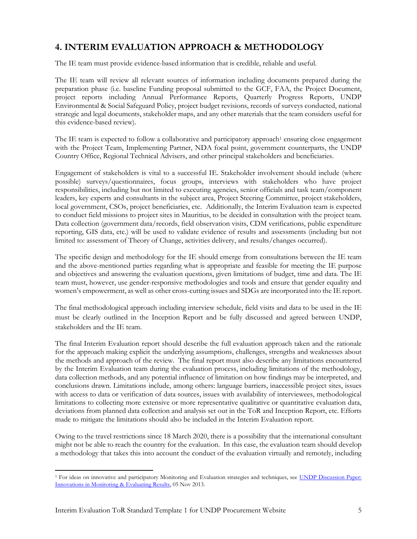# **4. INTERIM EVALUATION APPROACH & METHODOLOGY**

The IE team must provide evidence-based information that is credible, reliable and useful.

The IE team will review all relevant sources of information including documents prepared during the preparation phase (i.e. baseline Funding proposal submitted to the GCF, FAA, the Project Document, project reports including Annual Performance Reports, Quarterly Progress Reports, UNDP Environmental & Social Safeguard Policy, project budget revisions, records of surveys conducted, national strategic and legal documents, stakeholder maps, and any other materials that the team considers useful for this evidence-based review).

The IE team is expected to follow a collaborative and participatory approach<sup>1</sup> ensuring close engagement with the Project Team, Implementing Partner, NDA focal point, government counterparts, the UNDP Country Office, Regional Technical Advisers, and other principal stakeholders and beneficiaries.

Engagement of stakeholders is vital to a successful IE. Stakeholder involvement should include (where possible) surveys/questionnaires, focus groups, interviews with stakeholders who have project responsibilities, including but not limited to executing agencies, senior officials and task team/component leaders, key experts and consultants in the subject area, Project Steering Committee, project stakeholders, local government, CSOs, project beneficiaries, etc. Additionally, the Interim Evaluation team is expected to conduct field missions to project sites in Mauritius, to be decided in consultation with the project team. Data collection (government data/records, field observation visits, CDM verifications, public expenditure reporting, GIS data, etc.) will be used to validate evidence of results and assessments (including but not limited to: assessment of Theory of Change, activities delivery, and results/changes occurred).

The specific design and methodology for the IE should emerge from consultations between the IE team and the above-mentioned parties regarding what is appropriate and feasible for meeting the IE purpose and objectives and answering the evaluation questions, given limitations of budget, time and data. The IE team must, however, use gender-responsive methodologies and tools and ensure that gender equality and women's empowerment, as well as other cross-cutting issues and SDGs are incorporated into the IE report.

The final methodological approach including interview schedule, field visits and data to be used in the IE must be clearly outlined in the Inception Report and be fully discussed and agreed between UNDP, stakeholders and the IE team.

The final Interim Evaluation report should describe the full evaluation approach taken and the rationale for the approach making explicit the underlying assumptions, challenges, strengths and weaknesses about the methods and approach of the review. The final report must also describe any limitations encountered by the Interim Evaluation team during the evaluation process, including limitations of the methodology, data collection methods, and any potential influence of limitation on how findings may be interpreted, and conclusions drawn. Limitations include, among others: language barriers, inaccessible project sites, issues with access to data or verification of data sources, issues with availability of interviewees, methodological limitations to collecting more extensive or more representative qualitative or quantitative evaluation data, deviations from planned data collection and analysis set out in the ToR and Inception Report, etc. Efforts made to mitigate the limitations should also be included in the Interim Evaluation report.

Owing to the travel restrictions since 18 March 2020, there is a possibility that the international consultant might not be able to reach the country for the evaluation. In this case, the evaluation team should develop a methodology that takes this into account the conduct of the evaluation virtually and remotely, including

<sup>&</sup>lt;sup>1</sup> For ideas on innovative and participatory Monitoring and Evaluation strategies and techniques, see UNDP Discussion Paper: [Innovations in Monitoring & Evaluating Results,](http://www.undp.org/content/undp/en/home/librarypage/capacity-building/discussion-paper--innovations-in-monitoring---evaluating-results/) 05 Nov 2013.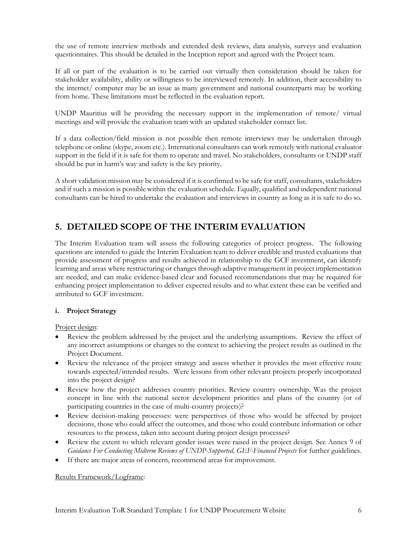the use of remote interview methods and extended desk reviews, data analysis, surveys and evaluation questionnaires. This should be detailed in the Inception report and agreed with the Project team.

If all or part of the evaluation is to be carried out virtually then consideration should be taken for stakeholder availability, ability or willingness to be interviewed remotely. In addition, their accessibility to the internet/ computer may be an issue as many government and national counterparts may be working from home. These limitations must be reflected in the evaluation report.

UNDP Mauritius will be providing the necessary support in the implementation of remote/ virtual meetings and will provide the evaluation team with an updated stakeholder contact list.

If a data collection/field mission is not possible then remote interviews may be undertaken through telephone or online (skype, zoom etc.). International consultants can work remotely with national evaluator support in the field if it is safe for them to operate and travel. No stakeholders, consultants or UNDP staff should be put in harm's way and safety is the key priority.

A short validation mission may be considered if it is confirmed to be safe for staff, consultants, stakeholders and if such a mission is possible within the evaluation schedule. Equally, qualified and independent national consultants can be hired to undertake the evaluation and interviews in country as long as it is safe to do so.

# **5. DETAILED SCOPE OF THE INTERIM EVALUATION**

The Interim Evaluation team will assess the following categories of project progress. The following questions are intended to guide the Interim Evaluation team to deliver credible and trusted evaluations that provide assessment of progress and results achieved in relationship to the GCF investment, can identify learning and areas where restructuring or changes through adaptive management in project implementation are needed, and can make evidence-based clear and focused recommendations that may be required for enhancing project implementation to deliver expected results and to what extent these can be verified and attributed to GCF investment.

## **i. Project Strategy**

Project design:

- Review the problem addressed by the project and the underlying assumptions. Review the effect of any incorrect assumptions or changes to the context to achieving the project results as outlined in the Project Document.
- Review the relevance of the project strategy and assess whether it provides the most effective route towards expected/intended results. Were lessons from other relevant projects properly incorporated into the project design?
- Review how the project addresses country priorities. Review country ownership. Was the project concept in line with the national sector development priorities and plans of the country (or of participating countries in the case of multi-country projects)?
- Review decision-making processes: were perspectives of those who would be affected by project decisions, those who could affect the outcomes, and those who could contribute information or other resources to the process, taken into account during project design processes?
- Review the extent to which relevant gender issues were raised in the project design. See Annex 9 of *Guidance For Conducting Midterm Reviews of UNDP-Supported, GEF-Financed Projects* for further guidelines.
- If there are major areas of concern, recommend areas for improvement.

## Results Framework/Logframe: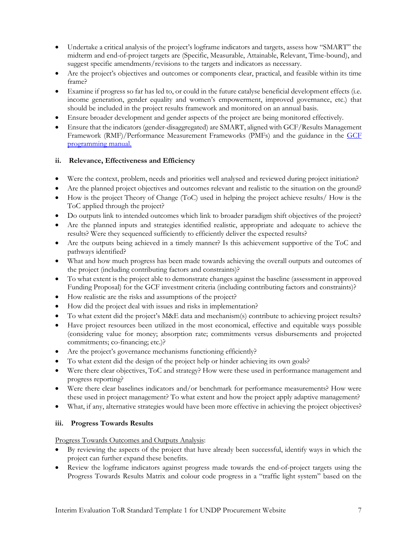- Undertake a critical analysis of the project's logframe indicators and targets, assess how "SMART" the midterm and end-of-project targets are (Specific, Measurable, Attainable, Relevant, Time-bound), and suggest specific amendments/revisions to the targets and indicators as necessary.
- Are the project's objectives and outcomes or components clear, practical, and feasible within its time frame?
- Examine if progress so far has led to, or could in the future catalyse beneficial development effects (i.e. income generation, gender equality and women's empowerment, improved governance, etc.) that should be included in the project results framework and monitored on an annual basis.
- Ensure broader development and gender aspects of the project are being monitored effectively.
- Ensure that the indicators (gender-disaggregated) are SMART, aligned with GCF/Results Management Framework (RMF)/Performance Measurement Frameworks (PMFs) and the guidance in the [GCF](https://www.greenclimate.fund/document/programming-manual)  [programming manual.](https://www.greenclimate.fund/document/programming-manual)

## **ii. Relevance, Effectiveness and Efficiency**

- Were the context, problem, needs and priorities well analysed and reviewed during project initiation?
- Are the planned project objectives and outcomes relevant and realistic to the situation on the ground?
- How is the project Theory of Change (ToC) used in helping the project achieve results/ How is the ToC applied through the project?
- Do outputs link to intended outcomes which link to broader paradigm shift objectives of the project?
- Are the planned inputs and strategies identified realistic, appropriate and adequate to achieve the results? Were they sequenced sufficiently to efficiently deliver the expected results?
- Are the outputs being achieved in a timely manner? Is this achievement supportive of the ToC and pathways identified?
- What and how much progress has been made towards achieving the overall outputs and outcomes of the project (including contributing factors and constraints)?
- To what extent is the project able to demonstrate changes against the baseline (assessment in approved Funding Proposal) for the GCF investment criteria (including contributing factors and constraints)?
- How realistic are the risks and assumptions of the project?
- How did the project deal with issues and risks in implementation?
- To what extent did the project's M&E data and mechanism(s) contribute to achieving project results?
- Have project resources been utilized in the most economical, effective and equitable ways possible (considering value for money; absorption rate; commitments versus disbursements and projected commitments; co-financing; etc.)?
- Are the project's governance mechanisms functioning efficiently?
- To what extent did the design of the project help or hinder achieving its own goals?
- Were there clear objectives, ToC and strategy? How were these used in performance management and progress reporting?
- Were there clear baselines indicators and/or benchmark for performance measurements? How were these used in project management? To what extent and how the project apply adaptive management?
- What, if any, alternative strategies would have been more effective in achieving the project objectives?

## **iii. Progress Towards Results**

#### Progress Towards Outcomes and Outputs Analysis:

- By reviewing the aspects of the project that have already been successful, identify ways in which the project can further expand these benefits.
- Review the logframe indicators against progress made towards the end-of-project targets using the Progress Towards Results Matrix and colour code progress in a "traffic light system" based on the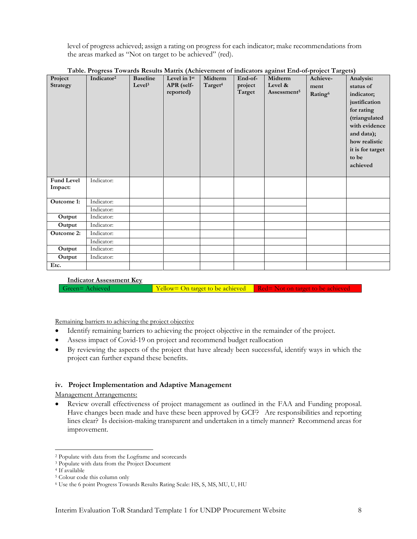level of progress achieved; assign a rating on progress for each indicator; make recommendations from the areas marked as "Not on target to be achieved" (red).

| Project<br>Strategy | Indicator <sup>2</sup> | <b>Baseline</b><br>Level <sup>3</sup> | Level in 1st<br>APR (self-<br>reported) | Midterm<br>Target <sup>4</sup> | End-of-<br>project<br>Target | Midterm<br>Level &<br>Assessment <sup>5</sup> | Achieve-<br>ment<br>Rating <sup>6</sup> | Analysis:<br>status of<br>indicator;<br>justification<br>for rating<br>(triangulated<br>with evidence<br>and data);<br>how realistic<br>it is for target<br>to be<br>achieved |
|---------------------|------------------------|---------------------------------------|-----------------------------------------|--------------------------------|------------------------------|-----------------------------------------------|-----------------------------------------|-------------------------------------------------------------------------------------------------------------------------------------------------------------------------------|
| <b>Fund Level</b>   | Indicator:             |                                       |                                         |                                |                              |                                               |                                         |                                                                                                                                                                               |
| Impact:             |                        |                                       |                                         |                                |                              |                                               |                                         |                                                                                                                                                                               |
| Outcome 1:          | Indicator:             |                                       |                                         |                                |                              |                                               |                                         |                                                                                                                                                                               |
|                     | Indicator:             |                                       |                                         |                                |                              |                                               |                                         |                                                                                                                                                                               |
| Output              | Indicator:             |                                       |                                         |                                |                              |                                               |                                         |                                                                                                                                                                               |
| Output              | Indicator:             |                                       |                                         |                                |                              |                                               |                                         |                                                                                                                                                                               |
| Outcome 2:          | Indicator:             |                                       |                                         |                                |                              |                                               |                                         |                                                                                                                                                                               |
|                     | Indicator:             |                                       |                                         |                                |                              |                                               |                                         |                                                                                                                                                                               |
| Output              | Indicator:             |                                       |                                         |                                |                              |                                               |                                         |                                                                                                                                                                               |
| Output              | Indicator:             |                                       |                                         |                                |                              |                                               |                                         |                                                                                                                                                                               |
| Etc.                |                        |                                       |                                         |                                |                              |                                               |                                         |                                                                                                                                                                               |

#### **Table. Progress Towards Results Matrix (Achievement of indicators against End-of-project Targets)**

**Indicator Assessment Key**

Green= Achieved Yellow= On target to be achieved Red= Not on target to be achieved

Remaining barriers to achieving the project objective

- Identify remaining barriers to achieving the project objective in the remainder of the project.
- Assess impact of Covid-19 on project and recommend budget reallocation
- By reviewing the aspects of the project that have already been successful, identify ways in which the project can further expand these benefits.

## **iv. Project Implementation and Adaptive Management**

Management Arrangements:

• Review overall effectiveness of project management as outlined in the FAA and Funding proposal. Have changes been made and have these been approved by GCF? Are responsibilities and reporting lines clear? Is decision-making transparent and undertaken in a timely manner? Recommend areas for improvement.

<sup>2</sup> Populate with data from the Logframe and scorecards

<sup>&</sup>lt;sup>3</sup> Populate with data from the Project Document

<sup>4</sup> If available

<sup>5</sup> Colour code this column only

<sup>6</sup> Use the 6 point Progress Towards Results Rating Scale: HS, S, MS, MU, U, HU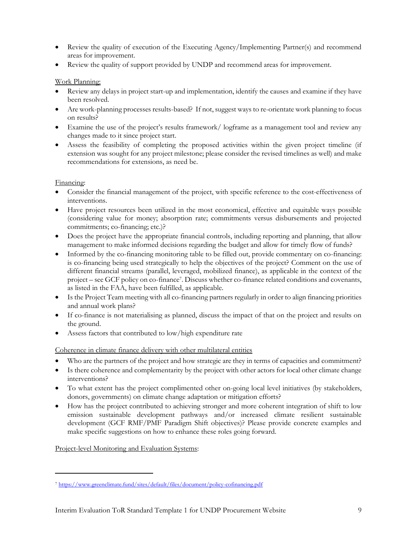- Review the quality of execution of the Executing Agency/Implementing Partner(s) and recommend areas for improvement.
- Review the quality of support provided by UNDP and recommend areas for improvement.

## Work Planning:

- Review any delays in project start-up and implementation, identify the causes and examine if they have been resolved.
- Are work-planning processes results-based? If not, suggest ways to re-orientate work planning to focus on results?
- Examine the use of the project's results framework/logframe as a management tool and review any changes made to it since project start.
- Assess the feasibility of completing the proposed activities within the given project timeline (if extension was sought for any project milestone; please consider the revised timelines as well) and make recommendations for extensions, as need be.

## Financing:

- Consider the financial management of the project, with specific reference to the cost-effectiveness of interventions.
- Have project resources been utilized in the most economical, effective and equitable ways possible (considering value for money; absorption rate; commitments versus disbursements and projected commitments; co-financing; etc.)?
- Does the project have the appropriate financial controls, including reporting and planning, that allow management to make informed decisions regarding the budget and allow for timely flow of funds?
- Informed by the co-financing monitoring table to be filled out, provide commentary on co-financing: is co-financing being used strategically to help the objectives of the project? Comment on the use of different financial streams (parallel, leveraged, mobilized finance), as applicable in the context of the project – see GCF policy on co-finance<sup>7</sup> . Discuss whether co-finance related conditions and covenants, as listed in the FAA, have been fulfilled, as applicable.
- Is the Project Team meeting with all co-financing partners regularly in order to align financing priorities and annual work plans?
- If co-finance is not materialising as planned, discuss the impact of that on the project and results on the ground.
- Assess factors that contributed to low/high expenditure rate

Coherence in climate finance delivery with other multilateral entities

- Who are the partners of the project and how strategic are they in terms of capacities and commitment?
- Is there coherence and complementarity by the project with other actors for local other climate change interventions?
- To what extent has the project complimented other on-going local level initiatives (by stakeholders, donors, governments) on climate change adaptation or mitigation efforts?
- How has the project contributed to achieving stronger and more coherent integration of shift to low emission sustainable development pathways and/or increased climate resilient sustainable development (GCF RMF/PMF Paradigm Shift objectives)? Please provide concrete examples and make specific suggestions on how to enhance these roles going forward.

Project-level Monitoring and Evaluation Systems:

<sup>7</sup> <https://www.greenclimate.fund/sites/default/files/document/policy-cofinancing.pdf>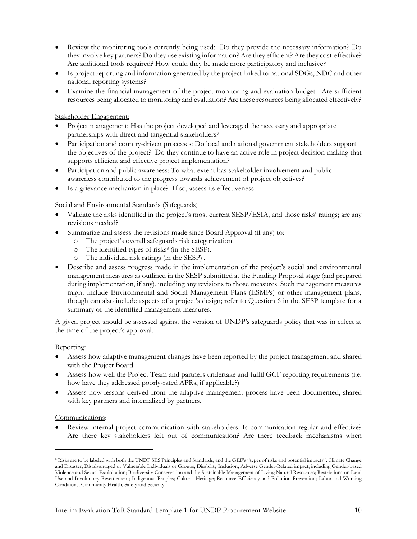- Review the monitoring tools currently being used: Do they provide the necessary information? Do they involve key partners? Do they use existing information? Are they efficient? Are they cost-effective? Are additional tools required? How could they be made more participatory and inclusive?
- Is project reporting and information generated by the project linked to national SDGs, NDC and other national reporting systems?
- Examine the financial management of the project monitoring and evaluation budget. Are sufficient resources being allocated to monitoring and evaluation? Are these resources being allocated effectively?

### Stakeholder Engagement:

- Project management: Has the project developed and leveraged the necessary and appropriate partnerships with direct and tangential stakeholders?
- Participation and country-driven processes: Do local and national government stakeholders support the objectives of the project? Do they continue to have an active role in project decision-making that supports efficient and effective project implementation?
- Participation and public awareness: To what extent has stakeholder involvement and public awareness contributed to the progress towards achievement of project objectives?
- Is a grievance mechanism in place? If so, assess its effectiveness

### Social and Environmental Standards (Safeguards)

- Validate the risks identified in the project's most current SESP/ESIA, and those risks' ratings; are any revisions needed?
- Summarize and assess the revisions made since Board Approval (if any) to:
	- o The project's overall safeguards risk categorization.
	- o The identified types of risks<sup>8</sup> (in the SESP).
	- o The individual risk ratings (in the SESP) .
- Describe and assess progress made in the implementation of the project's social and environmental management measures as outlined in the SESP submitted at the Funding Proposal stage (and prepared during implementation, if any), including any revisions to those measures. Such management measures might include Environmental and Social Management Plans (ESMPs) or other management plans, though can also include aspects of a project's design; refer to Question 6 in the SESP template for a summary of the identified management measures.

A given project should be assessed against the version of UNDP's safeguards policy that was in effect at the time of the project's approval.

#### Reporting:

- Assess how adaptive management changes have been reported by the project management and shared with the Project Board.
- Assess how well the Project Team and partners undertake and fulfil GCF reporting requirements (i.e. how have they addressed poorly-rated APRs, if applicable?)
- Assess how lessons derived from the adaptive management process have been documented, shared with key partners and internalized by partners.

#### Communications:

• Review internal project communication with stakeholders: Is communication regular and effective? Are there key stakeholders left out of communication? Are there feedback mechanisms when

<sup>8</sup> Risks are to be labeled with both the UNDP SES Principles and Standards, and the GEF's "types of risks and potential impacts": Climate Change and Disaster; Disadvantaged or Vulnerable Individuals or Groups; Disability Inclusion; Adverse Gender-Related impact, including Gender-based Violence and Sexual Exploitation; Biodiversity Conservation and the Sustainable Management of Living Natural Resources; Restrictions on Land Use and Involuntary Resettlement; Indigenous Peoples; Cultural Heritage; Resource Efficiency and Pollution Prevention; Labor and Working Conditions; Community Health, Safety and Security.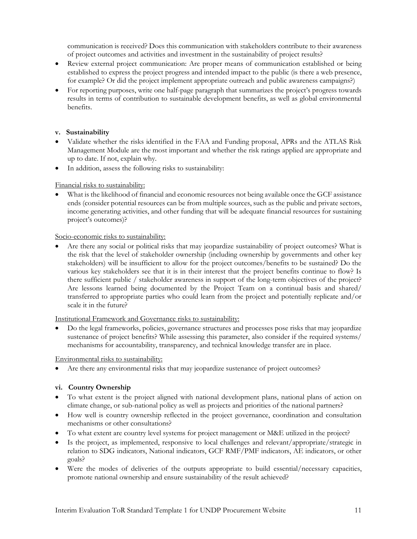communication is received? Does this communication with stakeholders contribute to their awareness of project outcomes and activities and investment in the sustainability of project results?

- Review external project communication: Are proper means of communication established or being established to express the project progress and intended impact to the public (is there a web presence, for example? Or did the project implement appropriate outreach and public awareness campaigns?)
- For reporting purposes, write one half-page paragraph that summarizes the project's progress towards results in terms of contribution to sustainable development benefits, as well as global environmental benefits.

### **v. Sustainability**

- Validate whether the risks identified in the FAA and Funding proposal, APRs and the ATLAS Risk Management Module are the most important and whether the risk ratings applied are appropriate and up to date. If not, explain why.
- In addition, assess the following risks to sustainability:

### Financial risks to sustainability:

What is the likelihood of financial and economic resources not being available once the GCF assistance ends (consider potential resources can be from multiple sources, such as the public and private sectors, income generating activities, and other funding that will be adequate financial resources for sustaining project's outcomes)?

### Socio-economic risks to sustainability:

• Are there any social or political risks that may jeopardize sustainability of project outcomes? What is the risk that the level of stakeholder ownership (including ownership by governments and other key stakeholders) will be insufficient to allow for the project outcomes/benefits to be sustained? Do the various key stakeholders see that it is in their interest that the project benefits continue to flow? Is there sufficient public / stakeholder awareness in support of the long-term objectives of the project? Are lessons learned being documented by the Project Team on a continual basis and shared/ transferred to appropriate parties who could learn from the project and potentially replicate and/or scale it in the future?

#### Institutional Framework and Governance risks to sustainability:

• Do the legal frameworks, policies, governance structures and processes pose risks that may jeopardize sustenance of project benefits? While assessing this parameter, also consider if the required systems/ mechanisms for accountability, transparency, and technical knowledge transfer are in place.

## Environmental risks to sustainability:

Are there any environmental risks that may jeopardize sustenance of project outcomes?

## **vi. Country Ownership**

- To what extent is the project aligned with national development plans, national plans of action on climate change, or sub-national policy as well as projects and priorities of the national partners?
- How well is country ownership reflected in the project governance, coordination and consultation mechanisms or other consultations?
- To what extent are country level systems for project management or M&E utilized in the project?
- Is the project, as implemented, responsive to local challenges and relevant/appropriate/strategic in relation to SDG indicators, National indicators, GCF RMF/PMF indicators, AE indicators, or other goals?
- Were the modes of deliveries of the outputs appropriate to build essential/necessary capacities, promote national ownership and ensure sustainability of the result achieved?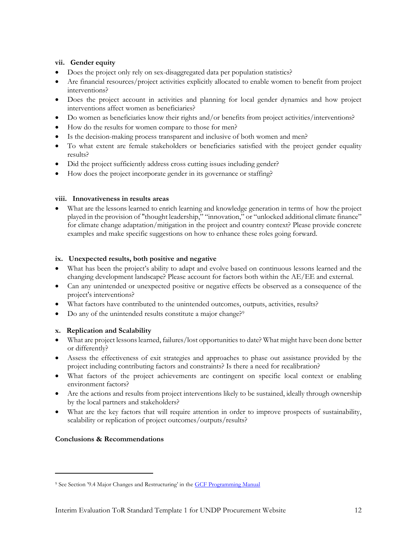## **vii. Gender equity**

- Does the project only rely on sex-disaggregated data per population statistics?
- Are financial resources/project activities explicitly allocated to enable women to benefit from project interventions?
- Does the project account in activities and planning for local gender dynamics and how project interventions affect women as beneficiaries?
- Do women as beneficiaries know their rights and/or benefits from project activities/interventions?
- How do the results for women compare to those for men?
- Is the decision-making process transparent and inclusive of both women and men?
- To what extent are female stakeholders or beneficiaries satisfied with the project gender equality results?
- Did the project sufficiently address cross cutting issues including gender?
- How does the project incorporate gender in its governance or staffing?

## **viii. Innovativeness in results areas**

• What are the lessons learned to enrich learning and knowledge generation in terms of how the project played in the provision of "thought leadership," "innovation," or "unlocked additional climate finance" for climate change adaptation/mitigation in the project and country context? Please provide concrete examples and make specific suggestions on how to enhance these roles going forward.

## **ix. Unexpected results, both positive and negative**

- What has been the project's ability to adapt and evolve based on continuous lessons learned and the changing development landscape? Please account for factors both within the AE/EE and external.
- Can any unintended or unexpected positive or negative effects be observed as a consequence of the project's interventions?
- What factors have contributed to the unintended outcomes, outputs, activities, results?
- Do any of the unintended results constitute a major change?<sup>9</sup>

## **x. Replication and Scalability**

- What are project lessons learned, failures/lost opportunities to date? What might have been done better or differently?
- Assess the effectiveness of exit strategies and approaches to phase out assistance provided by the project including contributing factors and constraints? Is there a need for recalibration?
- What factors of the project achievements are contingent on specific local context or enabling environment factors?
- Are the actions and results from project interventions likely to be sustained, ideally through ownership by the local partners and stakeholders?
- What are the key factors that will require attention in order to improve prospects of sustainability, scalability or replication of project outcomes/outputs/results?

## **Conclusions & Recommendations**

<sup>&</sup>lt;sup>9</sup> See Section '9.4 Major Changes and Restructuring' in the **[GCF Programming Manual](https://www.greenclimate.fund/document/programming-manual)**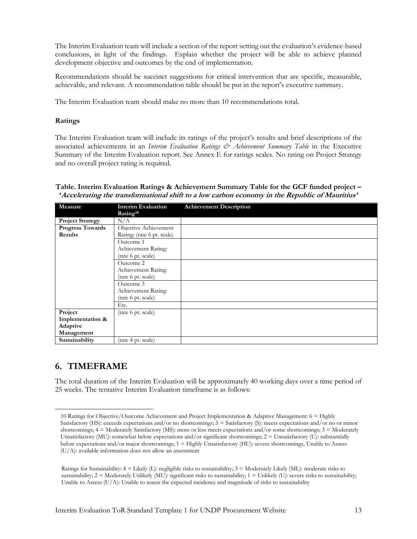The Interim Evaluation team will include a section of the report setting out the evaluation's evidence-based conclusions, in light of the findings. Explain whether the project will be able to achieve planned development objective and outcomes by the end of implementation.

Recommendations should be succinct suggestions for critical intervention that are specific, measurable, achievable, and relevant. A recommendation table should be put in the report's executive summary.

The Interim Evaluation team should make no more than 10 recommendations total.

### **Ratings**

The Interim Evaluation team will include its ratings of the project's results and brief descriptions of the associated achievements in an *Interim Evaluation Ratings & Achievement Summary Table* in the Executive Summary of the Interim Evaluation report. See Annex E for ratings scales. No rating on Project Strategy and no overall project rating is required.

### **Table. Interim Evaluation Ratings & Achievement Summary Table for the GCF funded project – 'Accelerating the transformational shift to a low carbon economy in the Republic of Mauritius'**

| Measure                 | <b>Interim Evaluation</b>  | <b>Achievement Description</b> |
|-------------------------|----------------------------|--------------------------------|
|                         | Rating <sup>10</sup>       |                                |
| <b>Project Strategy</b> | N/A                        |                                |
| <b>Progress Towards</b> | Objective Achievement      |                                |
| <b>Results</b>          | Rating: (rate 6 pt. scale) |                                |
|                         | Outcome 1                  |                                |
|                         | Achievement Rating:        |                                |
|                         | (rate 6 pt. scale)         |                                |
|                         | Outcome 2                  |                                |
|                         | Achievement Rating:        |                                |
|                         | (rate 6 pt. scale)         |                                |
|                         | Outcome 3                  |                                |
|                         | Achievement Rating:        |                                |
|                         | (rate 6 pt. scale)         |                                |
|                         | Etc.                       |                                |
| Project                 | (rate 6 pt. scale)         |                                |
| Implementation &        |                            |                                |
| Adaptive                |                            |                                |
| Management              |                            |                                |
| Sustainability          | (rate 4 pt. scale)         |                                |

## **6. TIMEFRAME**

The total duration of the Interim Evaluation will be approximately 40 working days over a time period of 25 weeks. The tentative Interim Evaluation timeframe is as follows:

<sup>10</sup> Ratings for Objective/Outcome Achievement and Project Implementation & Adaptive Management: 6 = Highly Satisfactory (HS): exceeds expectations and/or no shortcomings; 5 = Satisfactory (S): meets expectations and/or no or minor shortcomings; 4 = Moderately Satisfactory (MS): more or less meets expectations and/or some shortcomings; 3 = Moderately Unsatisfactory (MU): somewhat below expectations and/or significant shortcomings; 2 = Unsatisfactory (U): substantially below expectations and/or major shortcomings; 1 = Highly Unsatisfactory (HU): severe shortcomings, Unable to Assess  $(U/A)$ : available information does not allow an assessment

Ratings for Sustainability: 4 = Likely (L): negligible risks to sustainability; 3 = Moderately Likely (ML): moderate risks to sustainability; 2 = Moderately Unlikely (MU): significant risks to sustainability; 1 = Unlikely (U): severe risks to sustainability; Unable to Assess (U/A): Unable to assess the expected incidence and magnitude of risks to sustainability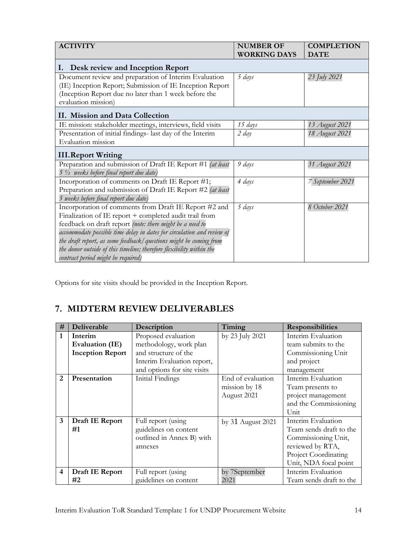| <b>ACTIVITY</b>                                                                                                                                                                                   | <b>NUMBER OF</b><br><b>WORKING DAYS</b> | <b>COMPLETION</b><br><b>DATE</b> |
|---------------------------------------------------------------------------------------------------------------------------------------------------------------------------------------------------|-----------------------------------------|----------------------------------|
| Desk review and Inception Report<br>Ι.                                                                                                                                                            |                                         |                                  |
| Document review and preparation of Interim Evaluation<br>(IE) Inception Report; Submission of IE Inception Report<br>(Inception Report due no later than 1 week before the<br>evaluation mission) | 5 days                                  | 23 July 2021                     |
| II. Mission and Data Collection                                                                                                                                                                   |                                         |                                  |
| IE mission: stakeholder meetings, interviews, field visits                                                                                                                                        | 15 days                                 | 13 August 2021                   |
| Presentation of initial findings- last day of the Interim                                                                                                                                         | $2 \; day$                              | 18 August 2021                   |
| Evaluation mission                                                                                                                                                                                |                                         |                                  |
| <b>III.Report Writing</b>                                                                                                                                                                         |                                         |                                  |
| Preparation and submission of Draft IE Report #1 (at least<br>5 1/2 weeks before final report due date)                                                                                           | 9 days                                  | 31 August 2021                   |
| Incorporation of comments on Draft IE Report #1;                                                                                                                                                  | 4 days                                  | 7 September 2021                 |
| Preparation and submission of Draft IE Report #2 (at least<br>5 weeks before final report due date)                                                                                               |                                         |                                  |
| Incorporation of comments from Draft IE Report #2 and                                                                                                                                             | 5 days                                  | 8 October 2021                   |
| Finalization of IE report + completed audit trail from                                                                                                                                            |                                         |                                  |
| feedback on draft report (note: there might be a need to                                                                                                                                          |                                         |                                  |
| accommodate possible time delay in dates for circulation and review of                                                                                                                            |                                         |                                  |
| the draft report, as some feedback/ questions might be coming from                                                                                                                                |                                         |                                  |
| the donor outside of this timeline; therefore flexibility within the                                                                                                                              |                                         |                                  |
| contract period might be required)                                                                                                                                                                |                                         |                                  |

Options for site visits should be provided in the Inception Report.

# **7. MIDTERM REVIEW DELIVERABLES**

| #                       | Deliverable             | Description                 | Timing            | <b>Responsibilities</b>     |
|-------------------------|-------------------------|-----------------------------|-------------------|-----------------------------|
| 1                       | Interim                 | Proposed evaluation         | by 23 July 2021   | Interim Evaluation          |
|                         | <b>Evaluation (IE)</b>  | methodology, work plan      |                   | team submits to the         |
|                         | <b>Inception Report</b> | and structure of the        |                   | Commissioning Unit          |
|                         |                         | Interim Evaluation report,  |                   | and project                 |
|                         |                         | and options for site visits |                   | management                  |
| 2                       | Presentation            | Initial Findings            | End of evaluation | Interim Evaluation          |
|                         |                         |                             | mission by 18     | Team presents to            |
|                         |                         |                             | August 2021       | project management          |
|                         |                         |                             |                   | and the Commissioning       |
|                         |                         |                             |                   | Unit                        |
| $\overline{\mathbf{3}}$ | Draft IE Report         | Full report (using          | by 31 August 2021 | Interim Evaluation          |
|                         | #1                      | guidelines on content       |                   | Team sends draft to the     |
|                         |                         | outlined in Annex B) with   |                   | Commissioning Unit,         |
|                         |                         | annexes                     |                   | reviewed by RTA,            |
|                         |                         |                             |                   | <b>Project Coordinating</b> |
|                         |                         |                             |                   | Unit, NDA focal point       |
| 4                       | Draft IE Report         | Full report (using          | by 7September     | Interim Evaluation          |
|                         | #2                      | guidelines on content       | 2021              | Team sends draft to the     |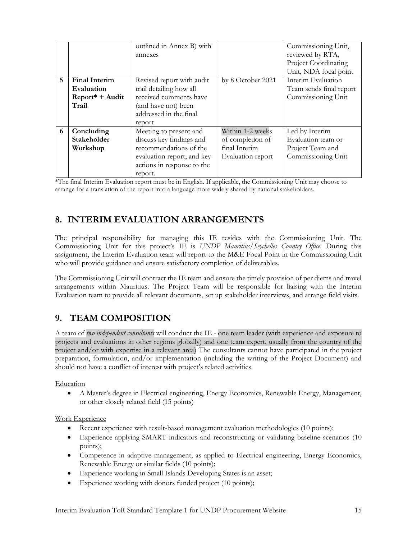|   |                      | outlined in Annex B) with  |                   | Commissioning Unit,         |
|---|----------------------|----------------------------|-------------------|-----------------------------|
|   |                      | annexes                    |                   | reviewed by RTA,            |
|   |                      |                            |                   | <b>Project Coordinating</b> |
|   |                      |                            |                   | Unit, NDA focal point       |
| 5 | <b>Final Interim</b> | Revised report with audit  | by 8 October 2021 | Interim Evaluation          |
|   | Evaluation           | trail detailing how all    |                   | Team sends final report     |
|   | $Report* + Audi$     | received comments have     |                   | Commissioning Unit          |
|   | Trail                | (and have not) been        |                   |                             |
|   |                      | addressed in the final     |                   |                             |
|   |                      | report                     |                   |                             |
| 6 | Concluding           | Meeting to present and     | Within 1-2 weeks  | Led by Interim              |
|   | Stakeholder          | discuss key findings and   | of completion of  | Evaluation team or          |
|   | Workshop             | recommendations of the     | final Interim     | Project Team and            |
|   |                      | evaluation report, and key | Evaluation report | Commissioning Unit          |
|   |                      | actions in response to the |                   |                             |
|   |                      | report.                    |                   |                             |

\*The final Interim Evaluation report must be in English. If applicable, the Commissioning Unit may choose to arrange for a translation of the report into a language more widely shared by national stakeholders.

# **8. INTERIM EVALUATION ARRANGEMENTS**

The principal responsibility for managing this IE resides with the Commissioning Unit. The Commissioning Unit for this project's IE is *UNDP Mauritius/Seychelles Country Office.* During this assignment, the Interim Evaluation team will report to the M&E Focal Point in the Commissioning Unit who will provide guidance and ensure satisfactory completion of deliverables.

The Commissioning Unit will contract the IE team and ensure the timely provision of per diems and travel arrangements within Mauritius. The Project Team will be responsible for liaising with the Interim Evaluation team to provide all relevant documents, set up stakeholder interviews, and arrange field visits.

# **9. TEAM COMPOSITION**

A team of *two independent consultants* will conduct the IE - one team leader (with experience and exposure to projects and evaluations in other regions globally) and one team expert, usually from the country of the project and/or with expertise in a relevant area) The consultants cannot have participated in the project preparation, formulation, and/or implementation (including the writing of the Project Document) and should not have a conflict of interest with project's related activities.

Education

• A Master's degree in Electrical engineering, Energy Economics, Renewable Energy, Management, or other closely related field (15 points)

## Work Experience

- Recent experience with result-based management evaluation methodologies (10 points);
- Experience applying SMART indicators and reconstructing or validating baseline scenarios (10 points);
- Competence in adaptive management, as applied to Electrical engineering, Energy Economics, Renewable Energy or similar fields (10 points);
- Experience working in Small Islands Developing States is an asset;
- Experience working with donors funded project (10 points);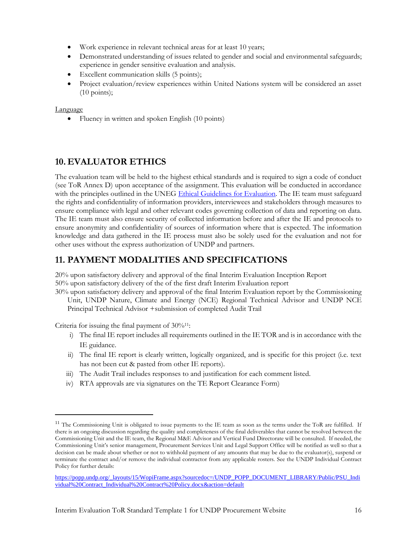- Work experience in relevant technical areas for at least 10 years;
- Demonstrated understanding of issues related to gender and social and environmental safeguards; experience in gender sensitive evaluation and analysis.
- Excellent communication skills (5 points);
- Project evaluation/review experiences within United Nations system will be considered an asset  $(10 \text{ points});$

**Language** 

• Fluency in written and spoken English (10 points)

## **10. EVALUATOR ETHICS**

The evaluation team will be held to the highest ethical standards and is required to sign a code of conduct (see ToR Annex D) upon acceptance of the assignment. This evaluation will be conducted in accordance with the principles outlined in the UNE[G Ethical Guidelines for Evaluation.](http://www.unevaluation.org/document/detail/2866) The IE team must safeguard the rights and confidentiality of information providers, interviewees and stakeholders through measures to ensure compliance with legal and other relevant codes governing collection of data and reporting on data. The IE team must also ensure security of collected information before and after the IE and protocols to ensure anonymity and confidentiality of sources of information where that is expected. The information knowledge and data gathered in the IE process must also be solely used for the evaluation and not for other uses without the express authorization of UNDP and partners.

# **11. PAYMENT MODALITIES AND SPECIFICATIONS**

20% upon satisfactory delivery and approval of the final Interim Evaluation Inception Report 50% upon satisfactory delivery of the of the first draft Interim Evaluation report

30% upon satisfactory delivery and approval of the final Interim Evaluation report by the Commissioning Unit, UNDP Nature, Climate and Energy (NCE) Regional Technical Advisor and UNDP NCE Principal Technical Advisor +submission of completed Audit Trail

Criteria for issuing the final payment of 30%<sup>11</sup>:

- i) The final IE report includes all requirements outlined in the IE TOR and is in accordance with the IE guidance.
- ii) The final IE report is clearly written, logically organized, and is specific for this project (i.e. text has not been cut & pasted from other IE reports).
- iii) The Audit Trail includes responses to and justification for each comment listed.
- iv) RTA approvals are via signatures on the TE Report Clearance Form)

<sup>&</sup>lt;sup>11</sup> The Commissioning Unit is obligated to issue payments to the IE team as soon as the terms under the ToR are fulfilled. If there is an ongoing discussion regarding the quality and completeness of the final deliverables that cannot be resolved between the Commissioning Unit and the IE team, the Regional M&E Advisor and Vertical Fund Directorate will be consulted. If needed, the Commissioning Unit's senior management, Procurement Services Unit and Legal Support Office will be notified as well so that a decision can be made about whether or not to withhold payment of any amounts that may be due to the evaluator(s), suspend or terminate the contract and/or remove the individual contractor from any applicable rosters. See the UNDP Individual Contract Policy for further details:

[https://popp.undp.org/\\_layouts/15/WopiFrame.aspx?sourcedoc=/UNDP\\_POPP\\_DOCUMENT\\_LIBRARY/Public/PSU\\_Indi](https://popp.undp.org/_layouts/15/WopiFrame.aspx?sourcedoc=/UNDP_POPP_DOCUMENT_LIBRARY/Public/PSU_Individual%20Contract_Individual%20Contract%20Policy.docx&action=default) [vidual%20Contract\\_Individual%20Contract%20Policy.docx&action=default](https://popp.undp.org/_layouts/15/WopiFrame.aspx?sourcedoc=/UNDP_POPP_DOCUMENT_LIBRARY/Public/PSU_Individual%20Contract_Individual%20Contract%20Policy.docx&action=default)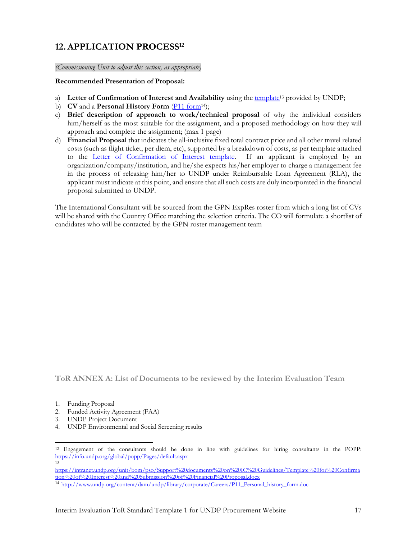# **12.APPLICATION PROCESS<sup>12</sup>**

*(Commissioning Unit to adjust this section, as appropriate)*

#### **Recommended Presentation of Proposal:**

- a) **Letter of Confirmation of Interest and Availability** using the [template](https://intranet.undp.org/unit/bom/pso/Support%20documents%20on%20IC%20Guidelines/Template%20for%20Confirmation%20of%20Interest%20and%20Submission%20of%20Financial%20Proposal.docx)<sup>13</sup> provided by UNDP;
- b) **CV** and a **Personal History Form** [\(P11 form](http://www.undp.org/content/dam/undp/library/corporate/Careers/P11_Personal_history_form.doc)<sup>14</sup>);
- c) **Brief description of approach to work/technical proposal** of why the individual considers him/herself as the most suitable for the assignment, and a proposed methodology on how they will approach and complete the assignment; (max 1 page)
- d) **Financial Proposal** that indicates the all-inclusive fixed total contract price and all other travel related costs (such as flight ticket, per diem, etc), supported by a breakdown of costs, as per template attached to the [Letter of Confirmation of Interest template.](http://procurement-notices.undp.org/view_file.cfm?doc_id=29916) If an applicant is employed by an organization/company/institution, and he/she expects his/her employer to charge a management fee in the process of releasing him/her to UNDP under Reimbursable Loan Agreement (RLA), the applicant must indicate at this point, and ensure that all such costs are duly incorporated in the financial proposal submitted to UNDP.

The International Consultant will be sourced from the GPN ExpRes roster from which a long list of CVs will be shared with the Country Office matching the selection criteria. The CO will formulate a shortlist of candidates who will be contacted by the GPN roster management team

**ToR ANNEX A: List of Documents to be reviewed by the Interim Evaluation Team** 

- 1. Funding Proposal
- 2. Funded Activity Agreement (FAA)
- 3. UNDP Project Document
- 4. UNDP Environmental and Social Screening results

[https://intranet.undp.org/unit/bom/pso/Support%20documents%20on%20IC%20Guidelines/Template%20for%20Confirma](https://intranet.undp.org/unit/bom/pso/Support%20documents%20on%20IC%20Guidelines/Template%20for%20Confirmation%20of%20Interest%20and%20Submission%20of%20Financial%20Proposal.docx) [tion%20of%20Interest%20and%20Submission%20of%20Financial%20Proposal.docx](https://intranet.undp.org/unit/bom/pso/Support%20documents%20on%20IC%20Guidelines/Template%20for%20Confirmation%20of%20Interest%20and%20Submission%20of%20Financial%20Proposal.docx)

<sup>12</sup> Engagement of the consultants should be done in line with guidelines for hiring consultants in the POPP: <https://info.undp.org/global/popp/Pages/default.aspx> 13

<sup>14</sup> [http://www.undp.org/content/dam/undp/library/corporate/Careers/P11\\_Personal\\_history\\_form.doc](http://www.undp.org/content/dam/undp/library/corporate/Careers/P11_Personal_history_form.doc)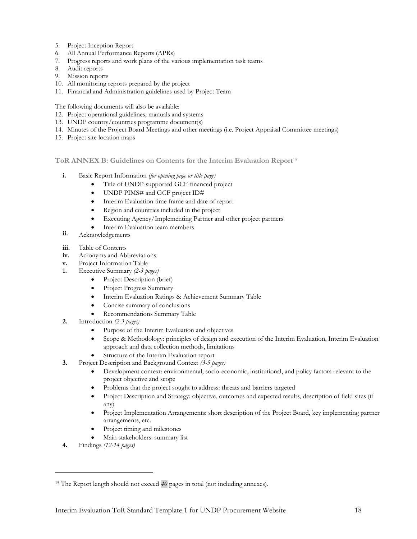- 5. Project Inception Report
- 6. All Annual Performance Reports (APRs)
- Progress reports and work plans of the various implementation task teams
- 8. Audit reports
- 9. Mission reports
- 10. All monitoring reports prepared by the project
- 11. Financial and Administration guidelines used by Project Team

The following documents will also be available:

- 12. Project operational guidelines, manuals and systems
- 13. UNDP country/countries programme document(s)
- 14. Minutes of the Project Board Meetings and other meetings (i.e. Project Appraisal Committee meetings)
- 15. Project site location maps

**ToR ANNEX B: Guidelines on Contents for the Interim Evaluation Report**<sup>15</sup>

- **i.** Basic Report Information *(for opening page or title page)*
	- Title of UNDP-supported GCF-financed project
	- UNDP PIMS# and GCF project ID#
	- Interim Evaluation time frame and date of report
	- Region and countries included in the project
	- Executing Agency/Implementing Partner and other project partners
	- Interim Evaluation team members
- **ii.** Acknowledgements
- **iii.** Table of Contents
- **iv.** Acronyms and Abbreviations
- **v.** Project Information Table
- **1.** Executive Summary *(2-3 pages)*
	- Project Description (brief)
	- Project Progress Summary
	- Interim Evaluation Ratings & Achievement Summary Table
	- Concise summary of conclusions
	- Recommendations Summary Table
- **2.** Introduction *(2-3 pages)*
	- Purpose of the Interim Evaluation and objectives
	- Scope & Methodology: principles of design and execution of the Interim Evaluation, Interim Evaluation approach and data collection methods, limitations
	- Structure of the Interim Evaluation report
- **3.** Project Description and Background Context *(3-5 pages)*
	- Development context: environmental, socio-economic, institutional, and policy factors relevant to the project objective and scope
	- Problems that the project sought to address: threats and barriers targeted
	- Project Description and Strategy: objective, outcomes and expected results, description of field sites (if any)
	- Project Implementation Arrangements: short description of the Project Board, key implementing partner arrangements, etc.
	- Project timing and milestones
	- Main stakeholders: summary list
- **4.** Findings *(12-14 pages)*

<sup>15</sup> The Report length should not exceed *40* pages in total (not including annexes).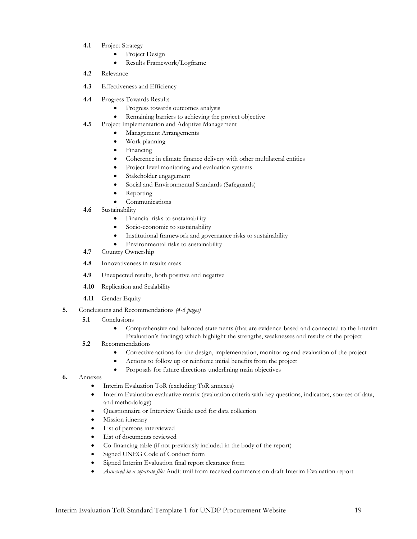- **4.1** Project Strategy
	- Project Design
	- Results Framework/Logframe
- **4.2** Relevance
- **4.3** Effectiveness and Efficiency
- **4.4** Progress Towards Results
	- Progress towards outcomes analysis
	- Remaining barriers to achieving the project objective
- **4.5** Project Implementation and Adaptive Management
	- Management Arrangements
	- Work planning
	- Financing
	- Coherence in climate finance delivery with other multilateral entities
	- Project-level monitoring and evaluation systems
	- Stakeholder engagement
	- Social and Environmental Standards (Safeguards)
	- Reporting
	- **Communications**
- **4.6** Sustainability
	- Financial risks to sustainability
	- Socio-economic to sustainability
	- Institutional framework and governance risks to sustainability
	- Environmental risks to sustainability
- **4.7** Country Ownership
- **4.8** Innovativeness in results areas
- **4.9** Unexpected results, both positive and negative
- **4.10** Replication and Scalability
- **4.11** Gender Equity
- **5.** Conclusions and Recommendations *(4-6 pages)*
	- **5.1**  Conclusions
		- Comprehensive and balanced statements (that are evidence-based and connected to the Interim Evaluation's findings) which highlight the strengths, weaknesses and results of the project
	- **5.2** Recommendations
		- Corrective actions for the design, implementation, monitoring and evaluation of the project
		- Actions to follow up or reinforce initial benefits from the project
		- Proposals for future directions underlining main objectives
- **6.** Annexes
	- Interim Evaluation ToR (excluding ToR annexes)
	- Interim Evaluation evaluative matrix (evaluation criteria with key questions, indicators, sources of data, and methodology)
	- Questionnaire or Interview Guide used for data collection
	- Mission itinerary
	- List of persons interviewed
	- List of documents reviewed
	- Co-financing table (if not previously included in the body of the report)
	- Signed UNEG Code of Conduct form
	- Signed Interim Evaluation final report clearance form
	- *Annexed in a separate file:* Audit trail from received comments on draft Interim Evaluation report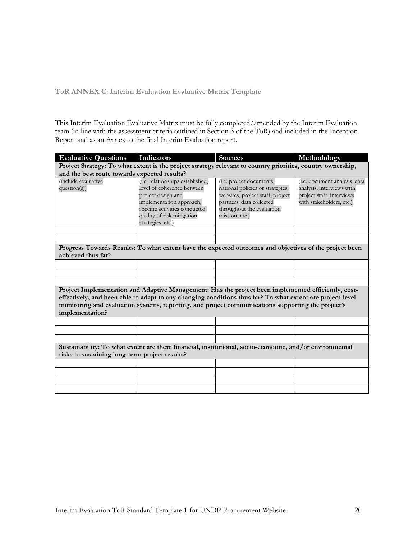## **ToR ANNEX C: Interim Evaluation Evaluative Matrix Template**

This Interim Evaluation Evaluative Matrix must be fully completed/amended by the Interim Evaluation team (in line with the assessment criteria outlined in Section 3 of the ToR) and included in the Inception Report and as an Annex to the final Interim Evaluation report.

| <b>Evaluative Questions</b>                                                                                                                               | Indicators                                                                                                                                                                                                                                                                                                            | Sources                                                                                                                                                                     | Methodology                                                                                                         |  |  |  |
|-----------------------------------------------------------------------------------------------------------------------------------------------------------|-----------------------------------------------------------------------------------------------------------------------------------------------------------------------------------------------------------------------------------------------------------------------------------------------------------------------|-----------------------------------------------------------------------------------------------------------------------------------------------------------------------------|---------------------------------------------------------------------------------------------------------------------|--|--|--|
| Project Strategy: To what extent is the project strategy relevant to country priorities, country ownership,                                               |                                                                                                                                                                                                                                                                                                                       |                                                                                                                                                                             |                                                                                                                     |  |  |  |
| and the best route towards expected results?                                                                                                              |                                                                                                                                                                                                                                                                                                                       |                                                                                                                                                                             |                                                                                                                     |  |  |  |
| <i>(include evaluative</i><br>question(s)                                                                                                                 | (i.e. relationships established,<br>level of coherence between<br>project design and<br>implementation approach,<br>specific activities conducted,<br>quality of risk mitigation<br>strategies, etc.)                                                                                                                 | (i.e. project documents,<br>national policies or strategies,<br>websites, project staff, project<br>partners, data collected<br>throughout the evaluation<br>mission, etc.) | (i.e. document analysis, data<br>analysis, interviews with<br>project staff, interviews<br>with stakeholders, etc.) |  |  |  |
|                                                                                                                                                           |                                                                                                                                                                                                                                                                                                                       |                                                                                                                                                                             |                                                                                                                     |  |  |  |
|                                                                                                                                                           |                                                                                                                                                                                                                                                                                                                       |                                                                                                                                                                             |                                                                                                                     |  |  |  |
| achieved thus far?                                                                                                                                        | Progress Towards Results: To what extent have the expected outcomes and objectives of the project been                                                                                                                                                                                                                |                                                                                                                                                                             |                                                                                                                     |  |  |  |
|                                                                                                                                                           |                                                                                                                                                                                                                                                                                                                       |                                                                                                                                                                             |                                                                                                                     |  |  |  |
|                                                                                                                                                           |                                                                                                                                                                                                                                                                                                                       |                                                                                                                                                                             |                                                                                                                     |  |  |  |
|                                                                                                                                                           |                                                                                                                                                                                                                                                                                                                       |                                                                                                                                                                             |                                                                                                                     |  |  |  |
| implementation?                                                                                                                                           | Project Implementation and Adaptive Management: Has the project been implemented efficiently, cost-<br>effectively, and been able to adapt to any changing conditions thus far? To what extent are project-level<br>monitoring and evaluation systems, reporting, and project communications supporting the project's |                                                                                                                                                                             |                                                                                                                     |  |  |  |
|                                                                                                                                                           |                                                                                                                                                                                                                                                                                                                       |                                                                                                                                                                             |                                                                                                                     |  |  |  |
|                                                                                                                                                           |                                                                                                                                                                                                                                                                                                                       |                                                                                                                                                                             |                                                                                                                     |  |  |  |
|                                                                                                                                                           |                                                                                                                                                                                                                                                                                                                       |                                                                                                                                                                             |                                                                                                                     |  |  |  |
| Sustainability: To what extent are there financial, institutional, socio-economic, and/or environmental<br>risks to sustaining long-term project results? |                                                                                                                                                                                                                                                                                                                       |                                                                                                                                                                             |                                                                                                                     |  |  |  |
|                                                                                                                                                           |                                                                                                                                                                                                                                                                                                                       |                                                                                                                                                                             |                                                                                                                     |  |  |  |
|                                                                                                                                                           |                                                                                                                                                                                                                                                                                                                       |                                                                                                                                                                             |                                                                                                                     |  |  |  |
|                                                                                                                                                           |                                                                                                                                                                                                                                                                                                                       |                                                                                                                                                                             |                                                                                                                     |  |  |  |
|                                                                                                                                                           |                                                                                                                                                                                                                                                                                                                       |                                                                                                                                                                             |                                                                                                                     |  |  |  |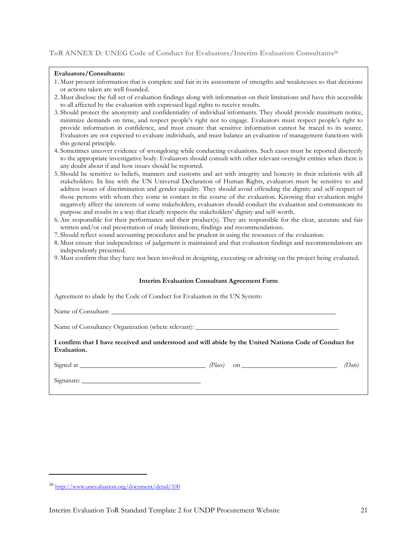## **ToR ANNEX D: UNEG Code of Conduct for Evaluators/Interim Evaluation Consultants<sup>16</sup>**

#### **Evaluators/Consultants:**

- 1. Must present information that is complete and fair in its assessment of strengths and weaknesses so that decisions or actions taken are well founded.
- 2. Must disclose the full set of evaluation findings along with information on their limitations and have this accessible to all affected by the evaluation with expressed legal rights to receive results.
- 3. Should protect the anonymity and confidentiality of individual informants. They should provide maximum notice, minimize demands on time, and respect people's right not to engage. Evaluators must respect people's right to provide information in confidence, and must ensure that sensitive information cannot be traced to its source. Evaluators are not expected to evaluate individuals, and must balance an evaluation of management functions with this general principle.
- 4. Sometimes uncover evidence of wrongdoing while conducting evaluations. Such cases must be reported discreetly to the appropriate investigative body. Evaluators should consult with other relevant oversight entities when there is any doubt about if and how issues should be reported.
- 5. Should be sensitive to beliefs, manners and customs and act with integrity and honesty in their relations with all stakeholders. In line with the UN Universal Declaration of Human Rights, evaluators must be sensitive to and address issues of discrimination and gender equality. They should avoid offending the dignity and self-respect of those persons with whom they come in contact in the course of the evaluation. Knowing that evaluation might negatively affect the interests of some stakeholders, evaluators should conduct the evaluation and communicate its purpose and results in a way that clearly respects the stakeholders' dignity and self-worth.
- 6. Are responsible for their performance and their product(s). They are responsible for the clear, accurate and fair written and/or oral presentation of study limitations, findings and recommendations.
- 7. Should reflect sound accounting procedures and be prudent in using the resources of the evaluation.
- 8. Must ensure that independence of judgement is maintained and that evaluation findings and recommendations are independently presented.
- 9. Must confirm that they have not been involved in designing, executing or advising on the project being evaluated.

|                                                                                                                       | <b>Interim Evaluation Consultant Agreement Form</b> |        |
|-----------------------------------------------------------------------------------------------------------------------|-----------------------------------------------------|--------|
| Agreement to abide by the Code of Conduct for Evaluation in the UN System:                                            |                                                     |        |
|                                                                                                                       |                                                     |        |
|                                                                                                                       |                                                     |        |
| I confirm that I have received and understood and will abide by the United Nations Code of Conduct for<br>Evaluation. |                                                     |        |
| Signed at $\qquad \qquad \qquad \qquad Place)$ on $\qquad \qquad \qquad$                                              |                                                     | (Date) |
|                                                                                                                       |                                                     |        |

<sup>16</sup> <http://www.unevaluation.org/document/detail/100>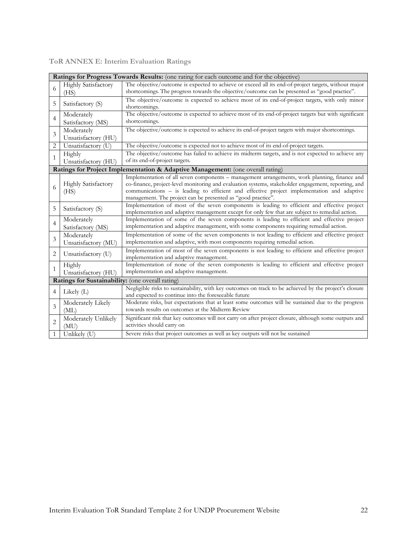**ToR ANNEX E: Interim Evaluation Ratings**

|                | Ratings for Progress Towards Results: (one rating for each outcome and for the objective) |                                                                                                                                                                                                                                                                                                                                                                   |  |  |  |
|----------------|-------------------------------------------------------------------------------------------|-------------------------------------------------------------------------------------------------------------------------------------------------------------------------------------------------------------------------------------------------------------------------------------------------------------------------------------------------------------------|--|--|--|
| 6              | <b>Highly Satisfactory</b><br>(HS)                                                        | The objective/outcome is expected to achieve or exceed all its end-of-project targets, without major<br>shortcomings. The progress towards the objective/outcome can be presented as "good practice".                                                                                                                                                             |  |  |  |
| 5              | Satisfactory (S)                                                                          | The objective/outcome is expected to achieve most of its end-of-project targets, with only minor<br>shortcomings.                                                                                                                                                                                                                                                 |  |  |  |
| $\overline{4}$ | Moderately<br>Satisfactory (MS)                                                           | The objective/outcome is expected to achieve most of its end-of-project targets but with significant<br>shortcomings.                                                                                                                                                                                                                                             |  |  |  |
| 3              | Moderately<br>Unsatisfactory (HU)                                                         | The objective/outcome is expected to achieve its end-of-project targets with major shortcomings.                                                                                                                                                                                                                                                                  |  |  |  |
| $\overline{2}$ | Unsatisfactory (U)                                                                        | The objective/outcome is expected not to achieve most of its end-of-project targets.                                                                                                                                                                                                                                                                              |  |  |  |
| 1              | Highly<br>Unsatisfactory (HU)                                                             | The objective/outcome has failed to achieve its midterm targets, and is not expected to achieve any<br>of its end-of-project targets.                                                                                                                                                                                                                             |  |  |  |
|                |                                                                                           | Ratings for Project Implementation & Adaptive Management: (one overall rating)                                                                                                                                                                                                                                                                                    |  |  |  |
| 6              | <b>Highly Satisfactory</b><br>(HS)                                                        | Implementation of all seven components - management arrangements, work planning, finance and<br>co-finance, project-level monitoring and evaluation systems, stakeholder engagement, reporting, and<br>communications – is leading to efficient and effective project implementation and adaptive<br>management. The project can be presented as "good practice". |  |  |  |
| 5              | Satisfactory (S)                                                                          | Implementation of most of the seven components is leading to efficient and effective project<br>implementation and adaptive management except for only few that are subject to remedial action.                                                                                                                                                                   |  |  |  |
| $\overline{4}$ | Moderately<br>Satisfactory (MS)                                                           | Implementation of some of the seven components is leading to efficient and effective project<br>implementation and adaptive management, with some components requiring remedial action.                                                                                                                                                                           |  |  |  |
| 3              | Moderately<br>Unsatisfactory (MU)                                                         | Implementation of some of the seven components is not leading to efficient and effective project<br>implementation and adaptive, with most components requiring remedial action.                                                                                                                                                                                  |  |  |  |
| $\overline{2}$ | Unsatisfactory (U)                                                                        | Implementation of most of the seven components is not leading to efficient and effective project<br>implementation and adaptive management.                                                                                                                                                                                                                       |  |  |  |
| $\mathbf{1}$   | Highly<br>Unsatisfactory (HU)                                                             | Implementation of none of the seven components is leading to efficient and effective project<br>implementation and adaptive management.                                                                                                                                                                                                                           |  |  |  |
|                | Ratings for Sustainability: (one overall rating)                                          |                                                                                                                                                                                                                                                                                                                                                                   |  |  |  |
| $\overline{4}$ | Likely $(L)$                                                                              | Negligible risks to sustainability, with key outcomes on track to be achieved by the project's closure<br>and expected to continue into the foreseeable future                                                                                                                                                                                                    |  |  |  |
| 3              | Moderately Likely<br>(ML)                                                                 | Moderate risks, but expectations that at least some outcomes will be sustained due to the progress<br>towards results on outcomes at the Midterm Review                                                                                                                                                                                                           |  |  |  |
| $\overline{2}$ | Moderately Unlikely<br>(MU)                                                               | Significant risk that key outcomes will not carry on after project closure, although some outputs and<br>activities should carry on                                                                                                                                                                                                                               |  |  |  |
| $\mathbf{1}$   | Unlikely (U)                                                                              | Severe risks that project outcomes as well as key outputs will not be sustained                                                                                                                                                                                                                                                                                   |  |  |  |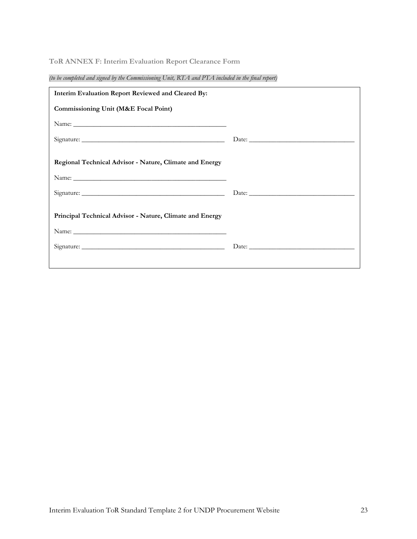## **ToR ANNEX F: Interim Evaluation Report Clearance Form**

| Interim Evaluation Report Reviewed and Cleared By:       |       |
|----------------------------------------------------------|-------|
| <b>Commissioning Unit (M&amp;E Focal Point)</b>          |       |
|                                                          |       |
|                                                          |       |
|                                                          |       |
| Regional Technical Advisor - Nature, Climate and Energy  |       |
|                                                          |       |
|                                                          |       |
|                                                          |       |
| Principal Technical Advisor - Nature, Climate and Energy |       |
|                                                          |       |
|                                                          | Date: |
|                                                          |       |

*(to be completed and signed by the Commissioning Unit, RTA and PTA included in the final report)*